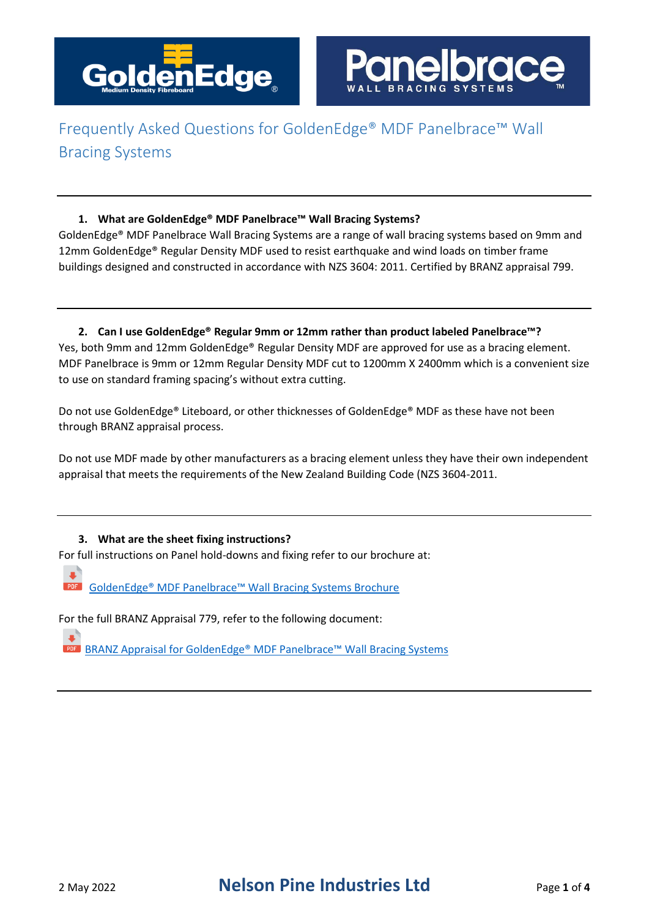

### **1. What are GoldenEdge® MDF Panelbrace™ Wall Bracing Systems?**

GoldenEdge® MDF Panelbrace Wall Bracing Systems are a range of wall bracing systems based on 9mm and 12mm GoldenEdge® Regular Density MDF used to resist earthquake and wind loads on timber frame buildings designed and constructed in accordance with NZS 3604: 2011. Certified by BRANZ appraisal 799.

**2. Can I use GoldenEdge® Regular 9mm or 12mm rather than product labeled Panelbrace™?** Yes, both 9mm and 12mm GoldenEdge® Regular Density MDF are approved for use as a bracing element. MDF Panelbrace is 9mm or 12mm Regular Density MDF cut to 1200mm X 2400mm which is a convenient size to use on standard framing spacing's without extra cutting.

Do not use GoldenEdge® Liteboard, or other thicknesses of GoldenEdge® MDF as these have not been through BRANZ appraisal process.

Do not use MDF made by other manufacturers as a bracing element unless they have their own independent appraisal that meets the requirements of the New Zealand Building Code (NZS 3604-2011.

### **3. What are the sheet fixing instructions?**

For full instructions on Panel hold-downs and fixing refer to our brochure at:

a. **PDF** [GoldenEdge® MDF Panelbrace™ Wall Bracing Systems Brochure](http://www.nelsonpine.co.nz/wp-content/uploads/MDF_Panelbrace_Brochure.pdf)

For the full BRANZ Appraisal 779, refer to the following document:

**PDF** BRANZ Appraisal for GoldenEdge® MDF Panelbrace™ Wall Bracing Systems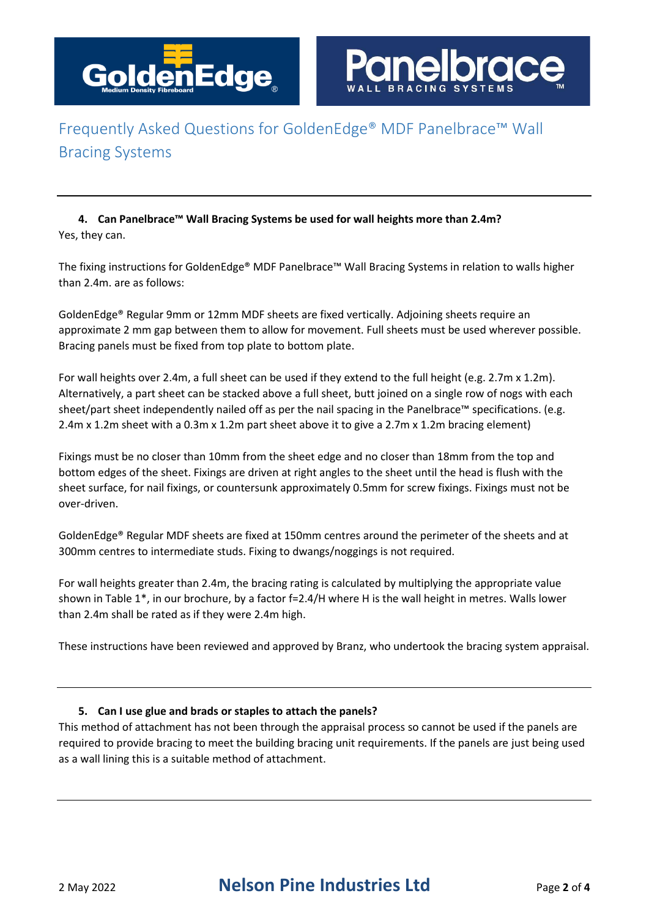

**4. Can Panelbrace™ Wall Bracing Systems be used for wall heights more than 2.4m?** Yes, they can.

The fixing instructions for GoldenEdge® MDF Panelbrace™ Wall Bracing Systems in relation to walls higher than 2.4m. are as follows:

GoldenEdge® Regular 9mm or 12mm MDF sheets are fixed vertically. Adjoining sheets require an approximate 2 mm gap between them to allow for movement. Full sheets must be used wherever possible. Bracing panels must be fixed from top plate to bottom plate.

For wall heights over 2.4m, a full sheet can be used if they extend to the full height (e.g. 2.7m x 1.2m). Alternatively, a part sheet can be stacked above a full sheet, butt joined on a single row of nogs with each sheet/part sheet independently nailed off as per the nail spacing in the Panelbrace™ specifications. (e.g. 2.4m x 1.2m sheet with a 0.3m x 1.2m part sheet above it to give a 2.7m x 1.2m bracing element)

Fixings must be no closer than 10mm from the sheet edge and no closer than 18mm from the top and bottom edges of the sheet. Fixings are driven at right angles to the sheet until the head is flush with the sheet surface, for nail fixings, or countersunk approximately 0.5mm for screw fixings. Fixings must not be over-driven.

GoldenEdge® Regular MDF sheets are fixed at 150mm centres around the perimeter of the sheets and at 300mm centres to intermediate studs. Fixing to dwangs/noggings is not required.

For wall heights greater than 2.4m, the bracing rating is calculated by multiplying the appropriate value shown in Table 1\*, in our brochure, by a factor f=2.4/H where H is the wall height in metres. Walls lower than 2.4m shall be rated as if they were 2.4m high.

These instructions have been reviewed and approved by Branz, who undertook the bracing system appraisal.

#### **5. Can I use glue and brads or staples to attach the panels?**

This method of attachment has not been through the appraisal process so cannot be used if the panels are required to provide bracing to meet the building bracing unit requirements. If the panels are just being used as a wall lining this is a suitable method of attachment.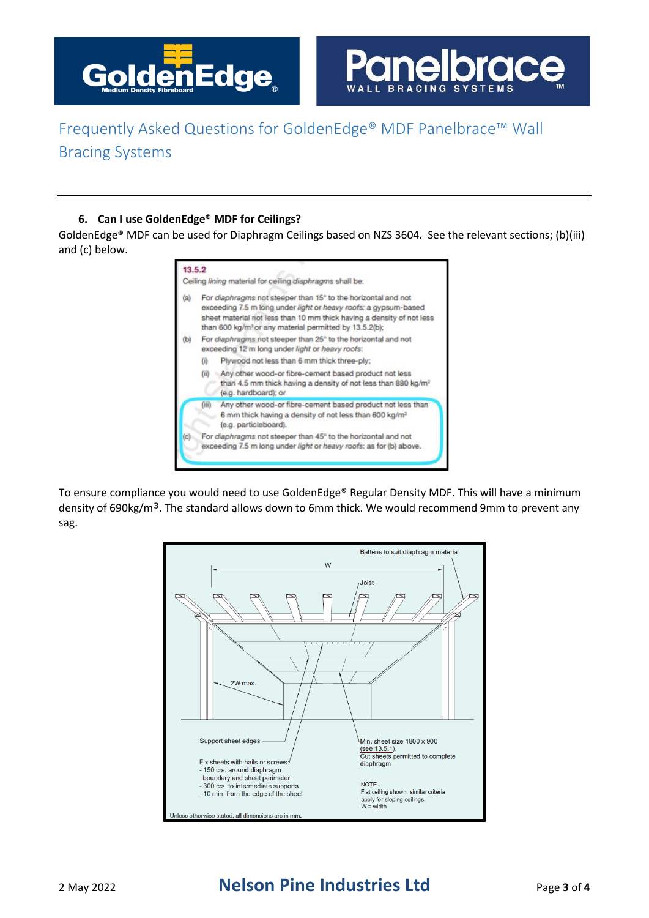



#### **6. Can I use GoldenEdge® MDF for Ceilings?**

GoldenEdge® MDF can be used for Diaphragm Ceilings based on NZS 3604. See the relevant sections; (b)(iii) and (c) below.

| 13.5.2 |                                                                                                                                                                                                                                                                                 | Ceiling lining material for ceiling diaphragms shall be:                                                                                                   |  |
|--------|---------------------------------------------------------------------------------------------------------------------------------------------------------------------------------------------------------------------------------------------------------------------------------|------------------------------------------------------------------------------------------------------------------------------------------------------------|--|
| (a)    | For diaphragms not steeper than 15° to the horizontal and not<br>exceeding 7.5 m long under light or heavy roofs: a gypsum-based<br>sheet material not less than 10 mm thick having a density of not less<br>than 600 kg/m <sup>3</sup> or any material permitted by 13.5.2(b); |                                                                                                                                                            |  |
| (b)    | For diaphragms not steeper than 25° to the horizontal and not<br>exceeding 12 m long under light or heavy roofs:                                                                                                                                                                |                                                                                                                                                            |  |
|        | $\left( i\right)$                                                                                                                                                                                                                                                               | Plywood not less than 6 mm thick three-ply:                                                                                                                |  |
|        | (ii)                                                                                                                                                                                                                                                                            | Any other wood-or fibre-cement based product not less<br>than 4.5 mm thick having a density of not less than 880 kg/m <sup>2</sup><br>(e.g. hardboard); or |  |
|        | (iii)                                                                                                                                                                                                                                                                           | Any other wood-or fibre-cement based product not less than<br>6 mm thick having a density of not less than 600 kg/m <sup>3</sup><br>(e.g. particleboard).  |  |
| (C)    | For diaphragms not steeper than 45° to the horizontal and not<br>exceeding 7.5 m long under light or heavy roofs: as for (b) above.                                                                                                                                             |                                                                                                                                                            |  |

To ensure compliance you would need to use GoldenEdge® Regular Density MDF. This will have a minimum density of 690kg/m<sup>3</sup>. The standard allows down to 6mm thick. We would recommend 9mm to prevent any sag.



### 2 May 2022 **Nelson Pine Industries Ltd** Page **<sup>3</sup>** of **<sup>4</sup>**